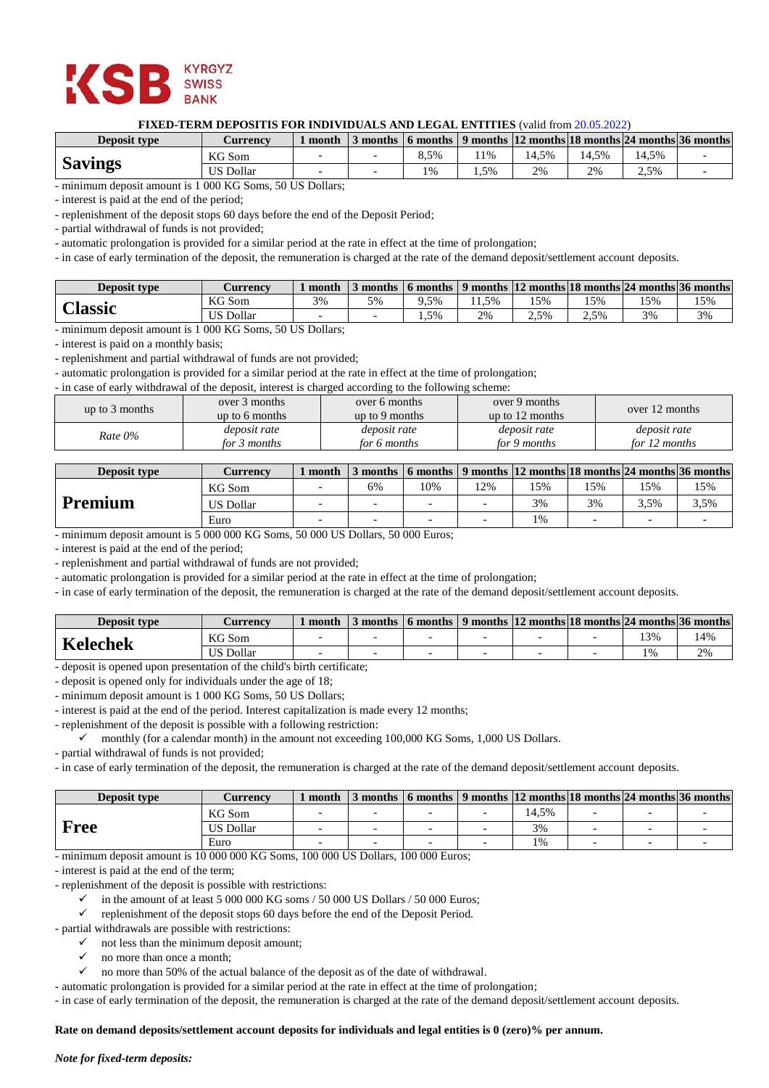

# **FIXED-TERM DEPOSITIS FOR INDIVIDUALS AND LEGAL ENTITIES** (valid from 20.05.2022)

| <b>Deposit type</b> | <i>C</i> urrencv | month |      |      |       |       |       | months $\mid$ 6 months $\mid$ 9 months $\mid$ 12 months $\mid$ 18 months $\mid$ 24 months $\mid$ 36 months $\mid$ |
|---------------------|------------------|-------|------|------|-------|-------|-------|-------------------------------------------------------------------------------------------------------------------|
| <b>Savings</b>      | KG Som           |       | 3.5% | . 1% | 14.5% | 14.5% | 14.5% |                                                                                                                   |
|                     | US Dollar        |       | 1%   | .5%  | 2%    | 2%    | 2,5%  |                                                                                                                   |

- minimum deposit amount is 1 000 KG Soms, 50 US Dollars;

- interest is paid at the end of the period;

- replenishment of the deposit stops 60 days before the end of the Deposit Period;

- partial withdrawal of funds is not provided;

- automatic prolongation is provided for a similar period at the rate in effect at the time of prolongation;

- in case of early termination of the deposit, the remuneration is charged at the rate of the demand deposit/settlement account deposits.

| <b>Deposit type</b> | Aurrencv         | month | months |        |      |      | $\mid$ 6 months $\mid$ 9 months $\mid$ 12 months $\mid$ 18 months $\mid$ 24 months $\mid$ 36 months $\mid$ |     |     |
|---------------------|------------------|-------|--------|--------|------|------|------------------------------------------------------------------------------------------------------------|-----|-----|
|                     | KG Som           | 3%    | 5%     | $.5\%$ | 1.5% | 15%  | 15%                                                                                                        | 15% | 15% |
| <b>Classic</b>      | <b>US Dollar</b> |       |        | 1.5%   | 2%   | 2.5% | $2.5\%$                                                                                                    | 3%  | 3%  |

- minimum deposit amount is 1 000 KG Soms, 50 US Dollars;

- interest is paid on a monthly basis;

- replenishment and partial withdrawal of funds are not provided;

- automatic prolongation is provided for a similar period at the rate in effect at the time of prolongation;

- in case of early withdrawal of the deposit, interest is charged according to the following scheme:

| up to $3$ months | over 3 months<br>up to 6 months | over 6 months<br>up to 9 months | over 9 months<br>up to $12$ months | over 12 months |
|------------------|---------------------------------|---------------------------------|------------------------------------|----------------|
| $Rate 0\%$       | deposit rate                    | <i>deposit rate</i>             | <i>deposit rate</i>                | deposit rate   |
|                  | for 3 months                    | for 6 months                    | for 9 months                       | for 12 months  |

| <b>Deposit type</b> | Currency         | month | 3 months |    |     |     |     |      | 6 months $\vert$ 9 months $\vert$ 12 months $\vert$ 18 months $\vert$ 24 months $\vert$ 36 months $\vert$ |
|---------------------|------------------|-------|----------|----|-----|-----|-----|------|-----------------------------------------------------------------------------------------------------------|
|                     | KG Som           |       | 6%       | 0% | 12% | 15% | 15% | .5%  | 15%                                                                                                       |
| <b>Premium</b>      | <b>US Dollar</b> |       |          |    |     | 3%  | 3%  | 3.5% | 3.5%                                                                                                      |
|                     | Euro             |       |          |    |     | 1%  |     |      |                                                                                                           |

- minimum deposit amount is 5 000 000 KG Soms, 50 000 US Dollars, 50 000 Euros;

- interest is paid at the end of the period;

- replenishment and partial withdrawal of funds are not provided;

- automatic prolongation is provided for a similar period at the rate in effect at the time of prolongation;

- in case of early termination of the deposit, the remuneration is charged at the rate of the demand deposit/settlement account deposits.

| <b>Deposit type</b> | <i>L</i> urrencv | month | $\mathcal{I}$ months $\mathcal{I}$ |  | 6 months $\vert$ 9 months $\vert$ 12 months 18 months $\vert$ 24 months $\vert$ 36 months $\vert$ |       |    |
|---------------------|------------------|-------|------------------------------------|--|---------------------------------------------------------------------------------------------------|-------|----|
| Kelechek            | KG Som           |       |                                    |  |                                                                                                   | 13%   | 4% |
|                     | <b>US Dollar</b> |       |                                    |  |                                                                                                   | $1\%$ | 2% |

- deposit is opened upon presentation of the child's birth certificate;

- deposit is opened only for individuals under the age of 18;

- minimum deposit amount is 1 000 KG Soms, 50 US Dollars;

- interest is paid at the end of the period. Interest capitalization is made every 12 months;

- replenishment of the deposit is possible with a following restriction:

monthly (for a calendar month) in the amount not exceeding  $100,000$  KG Soms, 1,000 US Dollars.

- partial withdrawal of funds is not provided;

- in case of early termination of the deposit, the remuneration is charged at the rate of the demand deposit/settlement account deposits.

| <b>Deposit type</b> | <b>Currency</b> | month |                          |                          | months $\mid$ 6 months $\mid$ 9 months $\mid$ 12 months $\mid$ 18 months $\mid$ 24 months $\mid$ 36 months |                          |          |  |
|---------------------|-----------------|-------|--------------------------|--------------------------|------------------------------------------------------------------------------------------------------------|--------------------------|----------|--|
|                     | KG Som          |       |                          |                          | 14.5%                                                                                                      |                          |          |  |
| <b>Free</b>         | JS Dollar       |       | $\overline{\phantom{0}}$ |                          | 3%                                                                                                         | ۰                        |          |  |
|                     | Euro            |       | $\sim$                   | $\overline{\phantom{0}}$ | 1%                                                                                                         | $\overline{\phantom{0}}$ | <b>-</b> |  |

- minimum deposit amount is 10 000 000 KG Soms, 100 000 US Dollars, 100 000 Euros;

- interest is paid at the end of the term;

- replenishment of the deposit is possible with restrictions:

 $\checkmark$  in the amount of at least 5 000 000 KG soms / 50 000 US Dollars / 50 000 Euros;

replenishment of the deposit stops 60 days before the end of the Deposit Period.

- partial withdrawals are possible with restrictions:

- not less than the minimum deposit amount;
	- $\checkmark$  no more than once a month:

 $\checkmark$  no more than 50% of the actual balance of the deposit as of the date of withdrawal.

- automatic prolongation is provided for a similar period at the rate in effect at the time of prolongation;

- in case of early termination of the deposit, the remuneration is charged at the rate of the demand deposit/settlement account deposits.

# **Rate on demand deposits/settlement account deposits for individuals and legal entities is 0 (zero)% per annum.**

### *Note for fixed-term deposits:*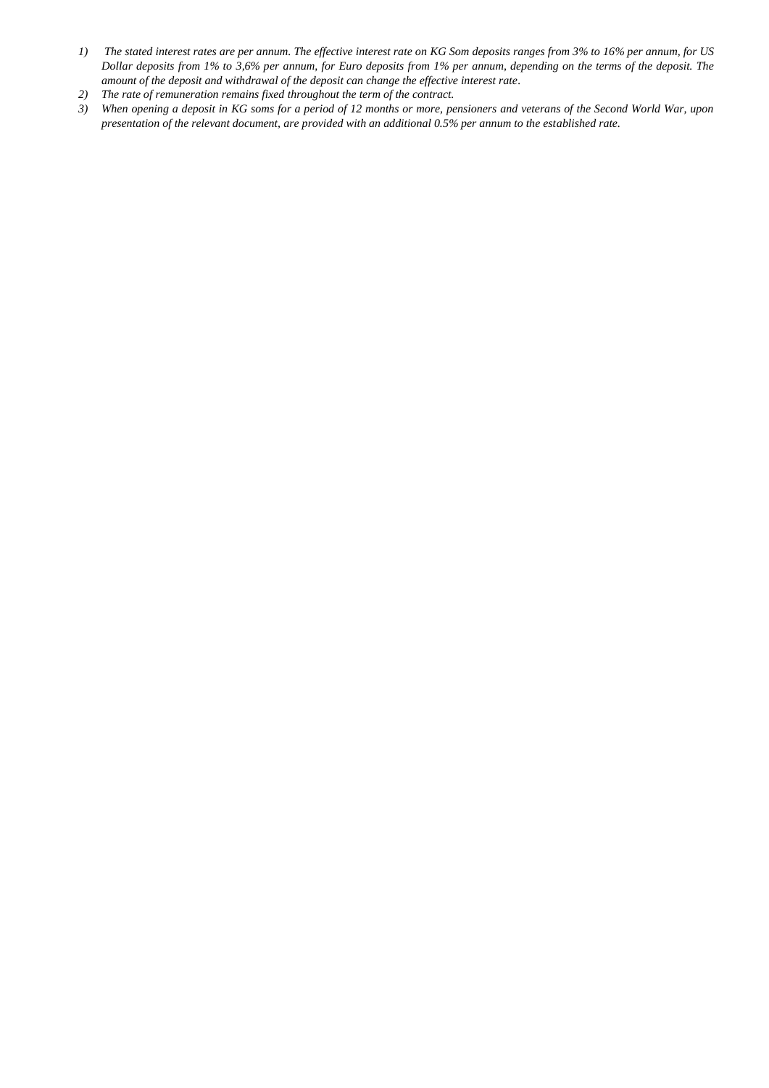- *1) The stated interest rates are per annum. The effective interest rate on KG Som deposits ranges from 3% to 16% per annum, for US Dollar deposits from 1% to 3,6% per annum, for Euro deposits from 1% per annum, depending on the terms of the deposit. The amount of the deposit and withdrawal of the deposit can change the effective interest rate.*
- *2) The rate of remuneration remains fixed throughout the term of the contract.*
- *3) When opening a deposit in KG soms for a period of 12 months or more, pensioners and veterans of the Second World War, upon presentation of the relevant document, are provided with an additional 0.5% per annum to the established rate.*